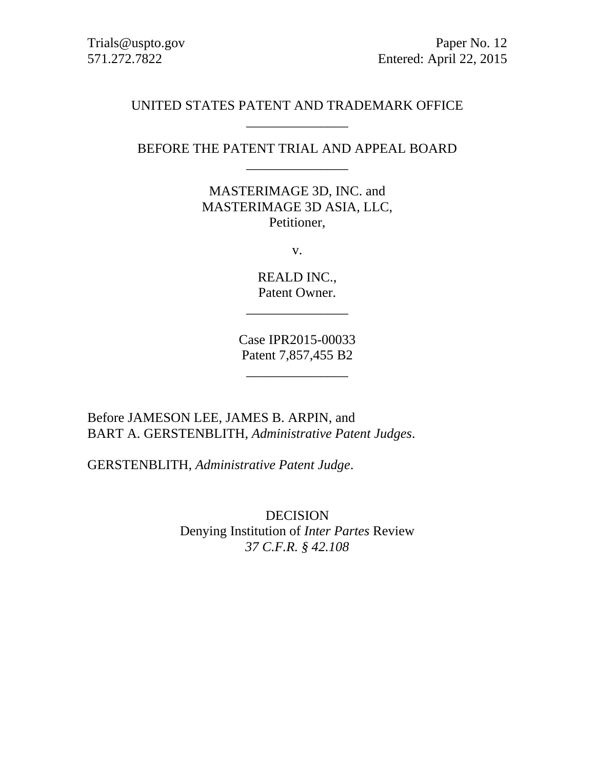### UNITED STATES PATENT AND TRADEMARK OFFICE \_\_\_\_\_\_\_\_\_\_\_\_\_\_\_

# BEFORE THE PATENT TRIAL AND APPEAL BOARD \_\_\_\_\_\_\_\_\_\_\_\_\_\_\_

MASTERIMAGE 3D, INC. and MASTERIMAGE 3D ASIA, LLC, Petitioner,

v.

REALD INC., Patent Owner.

\_\_\_\_\_\_\_\_\_\_\_\_\_\_\_

Case IPR2015-00033 Patent 7,857,455 B2

\_\_\_\_\_\_\_\_\_\_\_\_\_\_\_

Before JAMESON LEE, JAMES B. ARPIN, and BART A. GERSTENBLITH, *Administrative Patent Judges*.

GERSTENBLITH, *Administrative Patent Judge*.

DECISION Denying Institution of *Inter Partes* Review *37 C.F.R. § 42.108*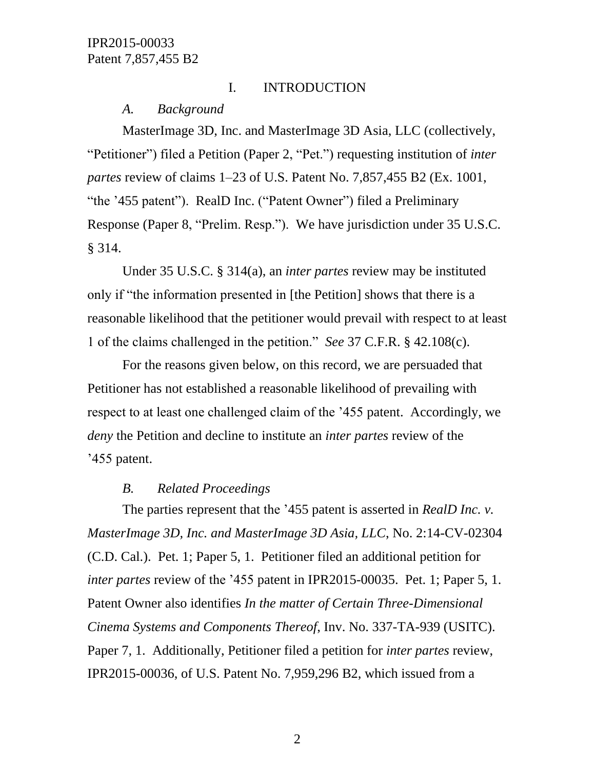### I. INTRODUCTION

*A. Background*

MasterImage 3D, Inc. and MasterImage 3D Asia, LLC (collectively, "Petitioner") filed a Petition (Paper 2, "Pet.") requesting institution of *inter partes* review of claims 1–23 of U.S. Patent No. 7,857,455 B2 (Ex. 1001, "the '455 patent"). RealD Inc. ("Patent Owner") filed a Preliminary Response (Paper 8, "Prelim. Resp."). We have jurisdiction under 35 U.S.C. § 314.

Under 35 U.S.C. § 314(a), an *inter partes* review may be instituted only if "the information presented in [the Petition] shows that there is a reasonable likelihood that the petitioner would prevail with respect to at least 1 of the claims challenged in the petition." *See* 37 C.F.R. § 42.108(c).

For the reasons given below, on this record, we are persuaded that Petitioner has not established a reasonable likelihood of prevailing with respect to at least one challenged claim of the '455 patent. Accordingly, we *deny* the Petition and decline to institute an *inter partes* review of the '455 patent.

### *B. Related Proceedings*

The parties represent that the '455 patent is asserted in *RealD Inc. v. MasterImage 3D, Inc. and MasterImage 3D Asia, LLC*, No. 2:14-CV-02304 (C.D. Cal.). Pet. 1; Paper 5, 1. Petitioner filed an additional petition for *inter partes* review of the '455 patent in IPR2015-00035. Pet. 1; Paper 5, 1. Patent Owner also identifies *In the matter of Certain Three-Dimensional Cinema Systems and Components Thereof*, Inv. No. 337-TA-939 (USITC). Paper 7, 1. Additionally, Petitioner filed a petition for *inter partes* review, IPR2015-00036, of U.S. Patent No. 7,959,296 B2, which issued from a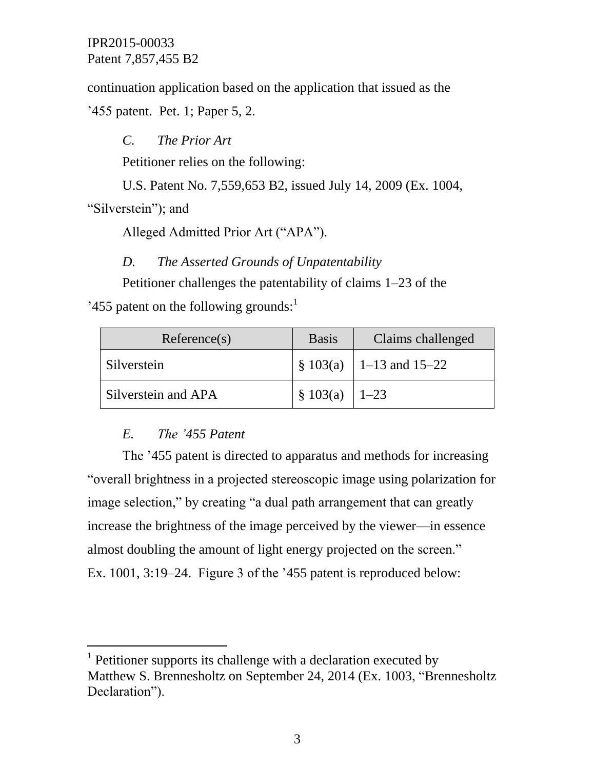continuation application based on the application that issued as the '455 patent. Pet. 1; Paper 5, 2.

*C. The Prior Art* Petitioner relies on the following:

U.S. Patent No. 7,559,653 B2, issued July 14, 2009 (Ex. 1004,

"Silverstein"); and

l

Alleged Admitted Prior Art ("APA").

*D. The Asserted Grounds of Unpatentability*

Petitioner challenges the patentability of claims 1–23 of the

'455 patent on the following grounds: $<sup>1</sup>$ </sup>

| Reference(s)        | <b>Basis</b>       | Claims challenged                        |
|---------------------|--------------------|------------------------------------------|
| Silverstein         |                    | $\frac{1}{2}$ \$ 103(a)   1–13 and 15–22 |
| Silverstein and APA | $\S$ 103(a)   1-23 |                                          |

# *E. The '455 Patent*

The '455 patent is directed to apparatus and methods for increasing "overall brightness in a projected stereoscopic image using polarization for image selection," by creating "a dual path arrangement that can greatly increase the brightness of the image perceived by the viewer—in essence almost doubling the amount of light energy projected on the screen." Ex. 1001, 3:19–24. Figure 3 of the '455 patent is reproduced below:

<sup>&</sup>lt;sup>1</sup> Petitioner supports its challenge with a declaration executed by Matthew S. Brennesholtz on September 24, 2014 (Ex. 1003, "Brennesholtz Declaration").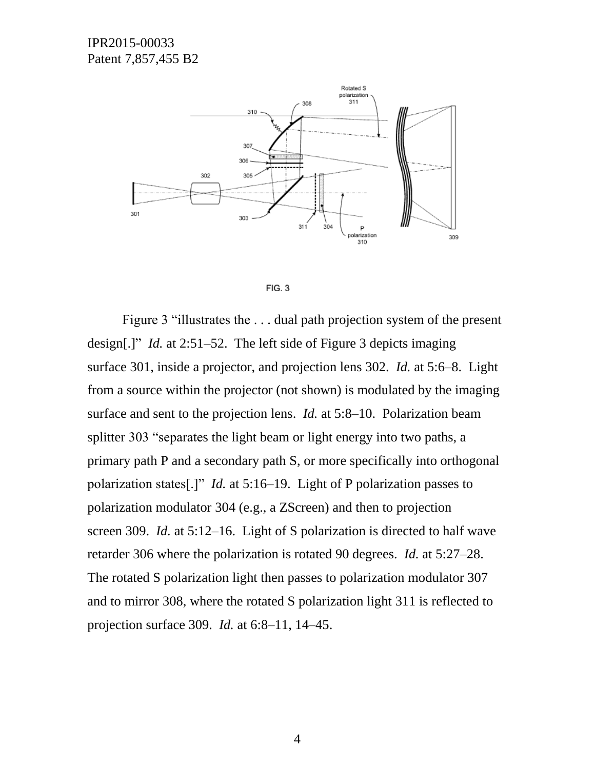



Figure 3 "illustrates the . . . dual path projection system of the present design[.]" *Id.* at 2:51–52. The left side of Figure 3 depicts imaging surface 301, inside a projector, and projection lens 302. *Id.* at 5:6–8. Light from a source within the projector (not shown) is modulated by the imaging surface and sent to the projection lens. *Id.* at 5:8–10. Polarization beam splitter 303 "separates the light beam or light energy into two paths, a primary path P and a secondary path S, or more specifically into orthogonal polarization states[.]" *Id.* at 5:16–19. Light of P polarization passes to polarization modulator 304 (e.g., a ZScreen) and then to projection screen 309. *Id.* at 5:12–16. Light of S polarization is directed to half wave retarder 306 where the polarization is rotated 90 degrees. *Id.* at 5:27–28. The rotated S polarization light then passes to polarization modulator 307 and to mirror 308, where the rotated S polarization light 311 is reflected to projection surface 309. *Id.* at 6:8–11, 14–45.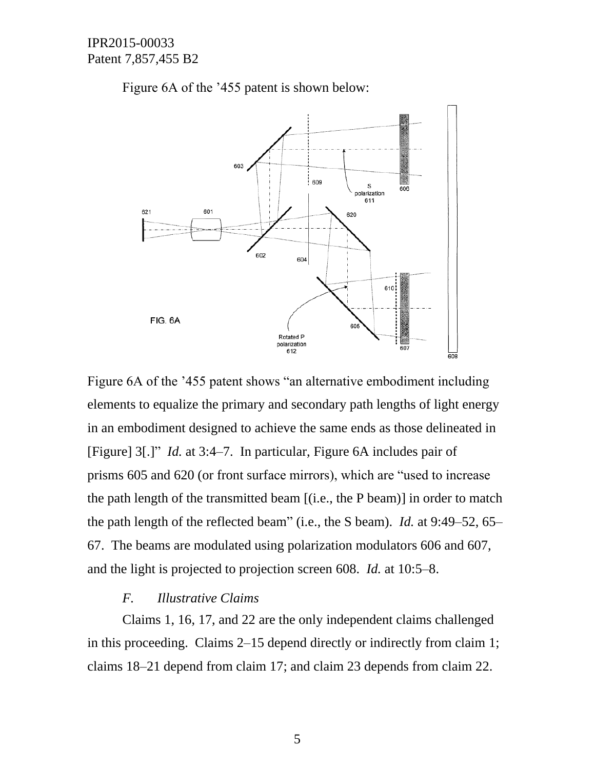

Figure 6A of the '455 patent is shown below:

Figure 6A of the '455 patent shows "an alternative embodiment including elements to equalize the primary and secondary path lengths of light energy in an embodiment designed to achieve the same ends as those delineated in [Figure] 3[.]" *Id.* at 3:4–7. In particular, Figure 6A includes pair of prisms 605 and 620 (or front surface mirrors), which are "used to increase the path length of the transmitted beam [(i.e., the P beam)] in order to match the path length of the reflected beam" (i.e., the S beam). *Id.* at 9:49–52, 65– 67. The beams are modulated using polarization modulators 606 and 607, and the light is projected to projection screen 608. *Id.* at 10:5–8.

#### *F. Illustrative Claims*

Claims 1, 16, 17, and 22 are the only independent claims challenged in this proceeding. Claims 2–15 depend directly or indirectly from claim 1; claims 18–21 depend from claim 17; and claim 23 depends from claim 22.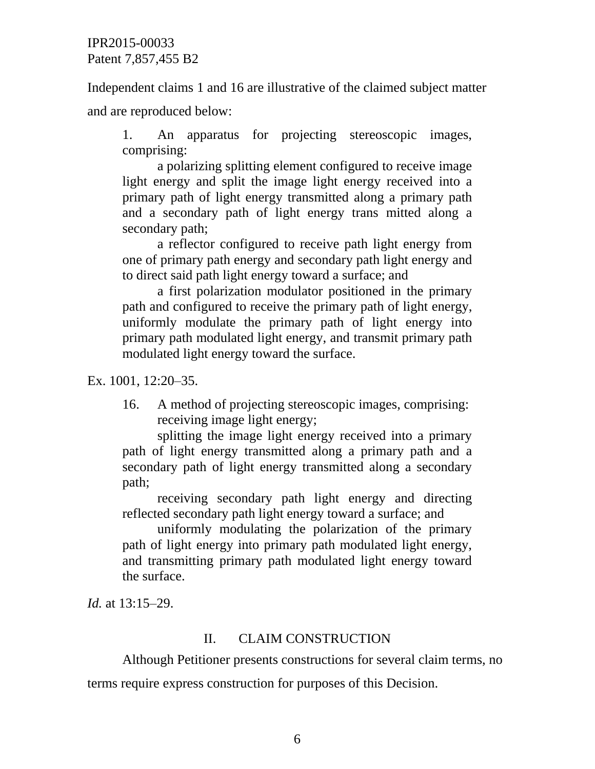Independent claims 1 and 16 are illustrative of the claimed subject matter

and are reproduced below:

1. An apparatus for projecting stereoscopic images, comprising:

a polarizing splitting element configured to receive image light energy and split the image light energy received into a primary path of light energy transmitted along a primary path and a secondary path of light energy trans mitted along a secondary path;

a reflector configured to receive path light energy from one of primary path energy and secondary path light energy and to direct said path light energy toward a surface; and

a first polarization modulator positioned in the primary path and configured to receive the primary path of light energy, uniformly modulate the primary path of light energy into primary path modulated light energy, and transmit primary path modulated light energy toward the surface.

Ex. 1001, 12:20–35.

16. A method of projecting stereoscopic images, comprising: receiving image light energy;

splitting the image light energy received into a primary path of light energy transmitted along a primary path and a secondary path of light energy transmitted along a secondary path;

receiving secondary path light energy and directing reflected secondary path light energy toward a surface; and

uniformly modulating the polarization of the primary path of light energy into primary path modulated light energy, and transmitting primary path modulated light energy toward the surface.

*Id.* at 13:15–29.

# II. CLAIM CONSTRUCTION

Although Petitioner presents constructions for several claim terms, no

terms require express construction for purposes of this Decision.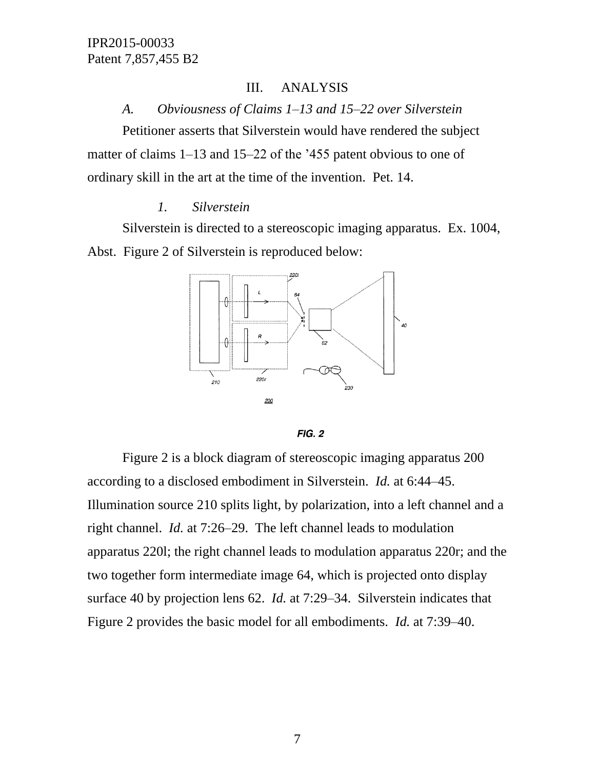### III. ANALYSIS

*A. Obviousness of Claims 1–13 and 15–22 over Silverstein*

Petitioner asserts that Silverstein would have rendered the subject matter of claims 1–13 and 15–22 of the '455 patent obvious to one of ordinary skill in the art at the time of the invention. Pet. 14.

### *1. Silverstein*

Silverstein is directed to a stereoscopic imaging apparatus. Ex. 1004, Abst. Figure 2 of Silverstein is reproduced below:





Figure 2 is a block diagram of stereoscopic imaging apparatus 200 according to a disclosed embodiment in Silverstein. *Id.* at 6:44–45. Illumination source 210 splits light, by polarization, into a left channel and a right channel. *Id.* at 7:26–29. The left channel leads to modulation apparatus 220l; the right channel leads to modulation apparatus 220r; and the two together form intermediate image 64, which is projected onto display surface 40 by projection lens 62. *Id.* at 7:29–34. Silverstein indicates that Figure 2 provides the basic model for all embodiments. *Id.* at 7:39–40.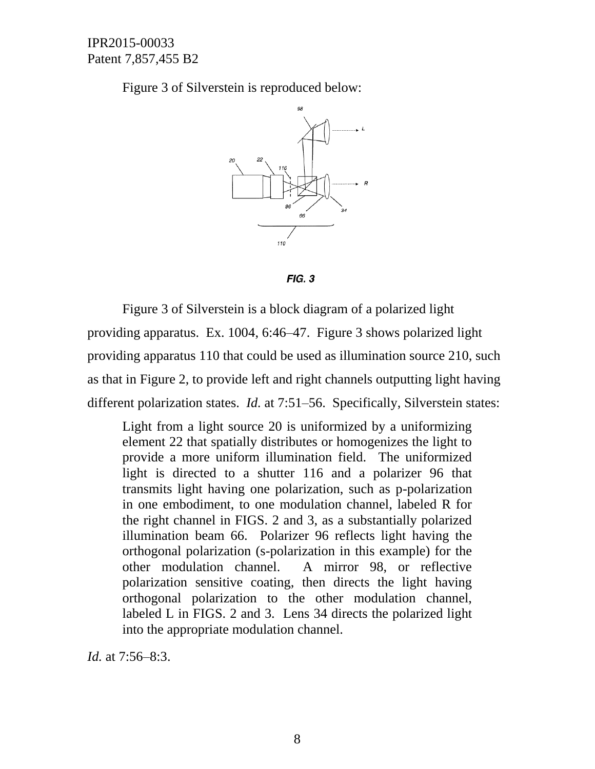Figure 3 of Silverstein is reproduced below:



 $FIG. 3$ 

Figure 3 of Silverstein is a block diagram of a polarized light providing apparatus. Ex. 1004, 6:46–47. Figure 3 shows polarized light providing apparatus 110 that could be used as illumination source 210, such as that in Figure 2, to provide left and right channels outputting light having different polarization states. *Id.* at 7:51–56. Specifically, Silverstein states:

Light from a light source 20 is uniformized by a uniformizing element 22 that spatially distributes or homogenizes the light to provide a more uniform illumination field. The uniformized light is directed to a shutter 116 and a polarizer 96 that transmits light having one polarization, such as p-polarization in one embodiment, to one modulation channel, labeled R for the right channel in FIGS. 2 and 3, as a substantially polarized illumination beam 66. Polarizer 96 reflects light having the orthogonal polarization (s-polarization in this example) for the other modulation channel. A mirror 98, or reflective polarization sensitive coating, then directs the light having orthogonal polarization to the other modulation channel, labeled L in FIGS. 2 and 3. Lens 34 directs the polarized light into the appropriate modulation channel.

*Id.* at 7:56–8:3.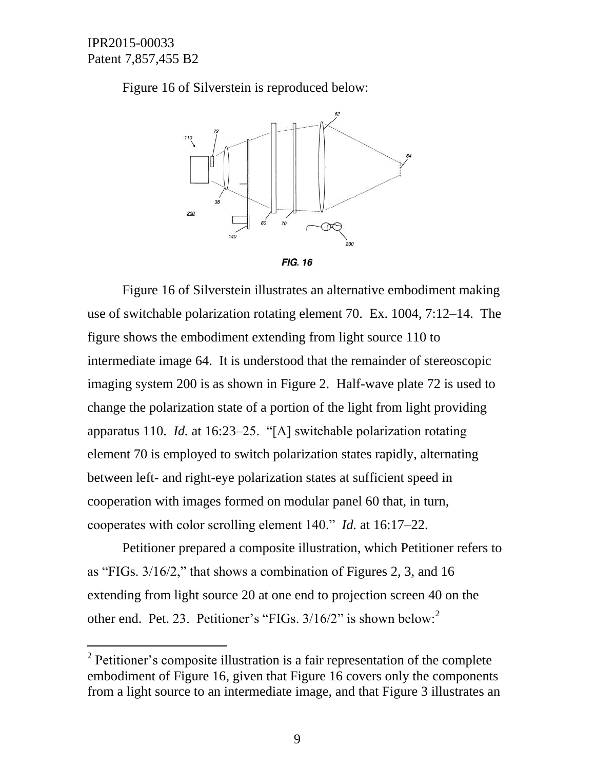l

Figure 16 of Silverstein is reproduced below:



Figure 16 of Silverstein illustrates an alternative embodiment making use of switchable polarization rotating element 70. Ex. 1004, 7:12–14. The figure shows the embodiment extending from light source 110 to intermediate image 64. It is understood that the remainder of stereoscopic imaging system 200 is as shown in Figure 2. Half-wave plate 72 is used to change the polarization state of a portion of the light from light providing apparatus 110. *Id.* at 16:23–25. "[A] switchable polarization rotating element 70 is employed to switch polarization states rapidly, alternating between left- and right-eye polarization states at sufficient speed in cooperation with images formed on modular panel 60 that, in turn, cooperates with color scrolling element 140." *Id.* at 16:17–22.

Petitioner prepared a composite illustration, which Petitioner refers to as "FIGs. 3/16/2," that shows a combination of Figures 2, 3, and 16 extending from light source 20 at one end to projection screen 40 on the other end. Pet. 23. Petitioner's "FIGs. 3/16/2" is shown below:<sup>2</sup>

 $2^2$  Petitioner's composite illustration is a fair representation of the complete embodiment of Figure 16, given that Figure 16 covers only the components from a light source to an intermediate image, and that Figure 3 illustrates an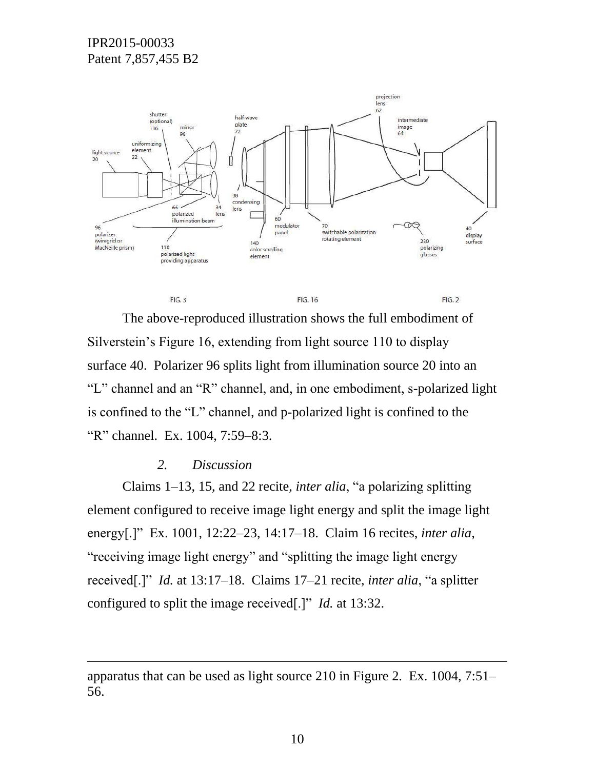

The above-reproduced illustration shows the full embodiment of Silverstein's Figure 16, extending from light source 110 to display surface 40. Polarizer 96 splits light from illumination source 20 into an "L" channel and an "R" channel, and, in one embodiment, s-polarized light is confined to the "L" channel, and p-polarized light is confined to the "R" channel. Ex. 1004, 7:59–8:3.

FIG. 16

 $FIG. 2$ 

#### *2. Discussion*

 $FIG.3$ 

 $\overline{a}$ 

Claims 1–13, 15, and 22 recite, *inter alia*, "a polarizing splitting element configured to receive image light energy and split the image light energy[.]" Ex. 1001, 12:22–23, 14:17–18. Claim 16 recites, *inter alia*, "receiving image light energy" and "splitting the image light energy received[.]" *Id.* at 13:17–18. Claims 17–21 recite, *inter alia*, "a splitter configured to split the image received[.]" *Id.* at 13:32.

apparatus that can be used as light source 210 in Figure 2. Ex. 1004, 7:51– 56.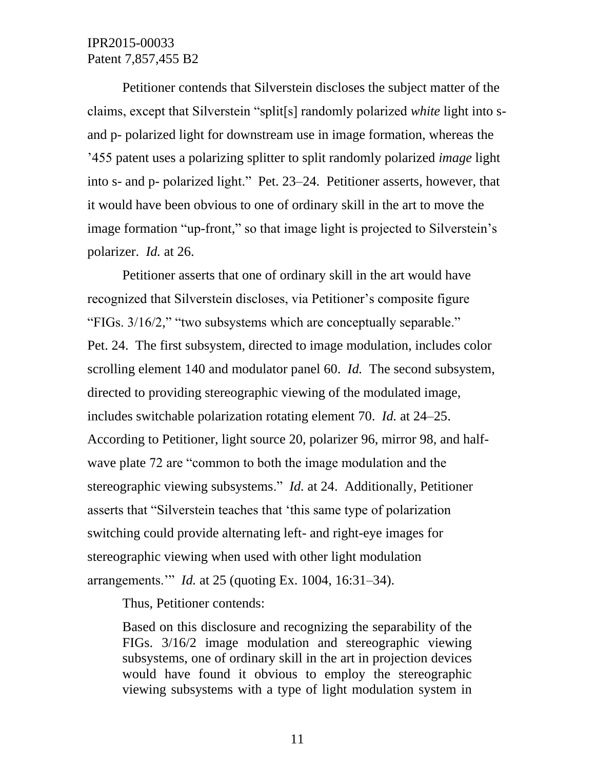Petitioner contends that Silverstein discloses the subject matter of the claims, except that Silverstein "split[s] randomly polarized *white* light into sand p- polarized light for downstream use in image formation, whereas the '455 patent uses a polarizing splitter to split randomly polarized *image* light into s- and p- polarized light." Pet. 23–24. Petitioner asserts, however, that it would have been obvious to one of ordinary skill in the art to move the image formation "up-front," so that image light is projected to Silverstein's polarizer. *Id.* at 26.

Petitioner asserts that one of ordinary skill in the art would have recognized that Silverstein discloses, via Petitioner's composite figure "FIGs. 3/16/2," "two subsystems which are conceptually separable." Pet. 24. The first subsystem, directed to image modulation, includes color scrolling element 140 and modulator panel 60. *Id.* The second subsystem, directed to providing stereographic viewing of the modulated image, includes switchable polarization rotating element 70. *Id.* at 24–25. According to Petitioner, light source 20, polarizer 96, mirror 98, and halfwave plate 72 are "common to both the image modulation and the stereographic viewing subsystems." *Id.* at 24. Additionally, Petitioner asserts that "Silverstein teaches that 'this same type of polarization switching could provide alternating left- and right-eye images for stereographic viewing when used with other light modulation arrangements.'" *Id.* at 25 (quoting Ex. 1004, 16:31–34).

Thus, Petitioner contends:

Based on this disclosure and recognizing the separability of the FIGs. 3/16/2 image modulation and stereographic viewing subsystems, one of ordinary skill in the art in projection devices would have found it obvious to employ the stereographic viewing subsystems with a type of light modulation system in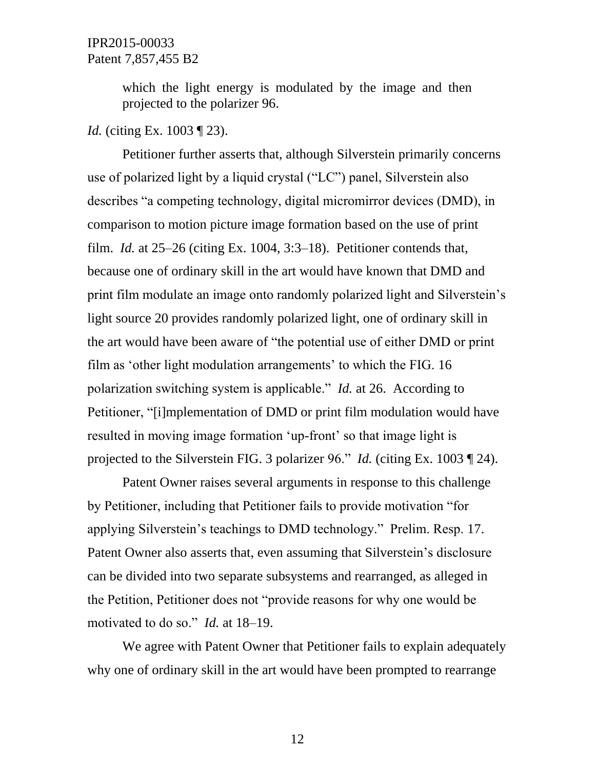which the light energy is modulated by the image and then projected to the polarizer 96.

# *Id.* (citing Ex. 1003 ¶ 23).

Petitioner further asserts that, although Silverstein primarily concerns use of polarized light by a liquid crystal ("LC") panel, Silverstein also describes "a competing technology, digital micromirror devices (DMD), in comparison to motion picture image formation based on the use of print film. *Id.* at 25–26 (citing Ex. 1004, 3:3–18). Petitioner contends that, because one of ordinary skill in the art would have known that DMD and print film modulate an image onto randomly polarized light and Silverstein's light source 20 provides randomly polarized light, one of ordinary skill in the art would have been aware of "the potential use of either DMD or print film as 'other light modulation arrangements' to which the FIG. 16 polarization switching system is applicable." *Id.* at 26. According to Petitioner, "[i]mplementation of DMD or print film modulation would have resulted in moving image formation 'up-front' so that image light is projected to the Silverstein FIG. 3 polarizer 96." *Id.* (citing Ex. 1003 ¶ 24).

Patent Owner raises several arguments in response to this challenge by Petitioner, including that Petitioner fails to provide motivation "for applying Silverstein's teachings to DMD technology." Prelim. Resp. 17. Patent Owner also asserts that, even assuming that Silverstein's disclosure can be divided into two separate subsystems and rearranged, as alleged in the Petition, Petitioner does not "provide reasons for why one would be motivated to do so." *Id.* at 18–19.

We agree with Patent Owner that Petitioner fails to explain adequately why one of ordinary skill in the art would have been prompted to rearrange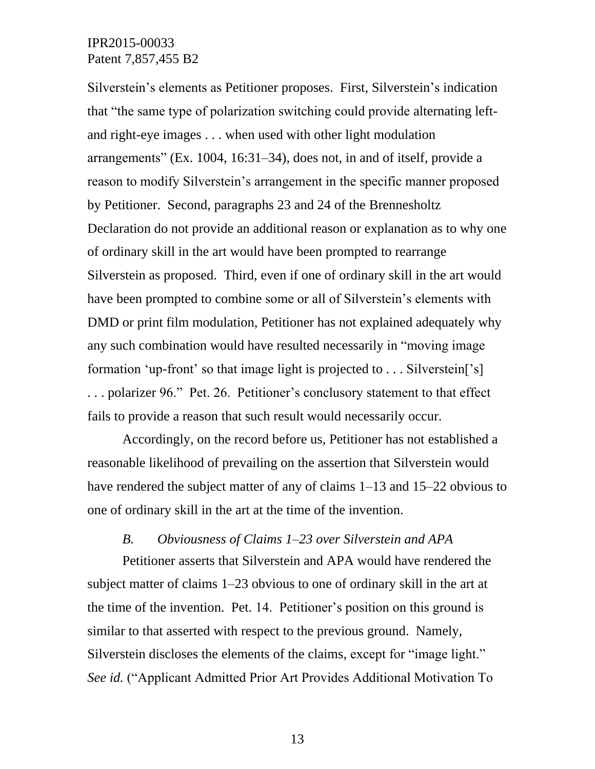Silverstein's elements as Petitioner proposes. First, Silverstein's indication that "the same type of polarization switching could provide alternating leftand right-eye images . . . when used with other light modulation arrangements" (Ex. 1004, 16:31–34), does not, in and of itself, provide a reason to modify Silverstein's arrangement in the specific manner proposed by Petitioner. Second, paragraphs 23 and 24 of the Brennesholtz Declaration do not provide an additional reason or explanation as to why one of ordinary skill in the art would have been prompted to rearrange Silverstein as proposed. Third, even if one of ordinary skill in the art would have been prompted to combine some or all of Silverstein's elements with DMD or print film modulation, Petitioner has not explained adequately why any such combination would have resulted necessarily in "moving image formation 'up-front' so that image light is projected to . . . Silverstein['s] . . . polarizer 96." Pet. 26. Petitioner's conclusory statement to that effect fails to provide a reason that such result would necessarily occur.

Accordingly, on the record before us, Petitioner has not established a reasonable likelihood of prevailing on the assertion that Silverstein would have rendered the subject matter of any of claims 1–13 and 15–22 obvious to one of ordinary skill in the art at the time of the invention.

#### *B. Obviousness of Claims 1–23 over Silverstein and APA*

Petitioner asserts that Silverstein and APA would have rendered the subject matter of claims 1–23 obvious to one of ordinary skill in the art at the time of the invention. Pet. 14. Petitioner's position on this ground is similar to that asserted with respect to the previous ground. Namely, Silverstein discloses the elements of the claims, except for "image light." *See id.* ("Applicant Admitted Prior Art Provides Additional Motivation To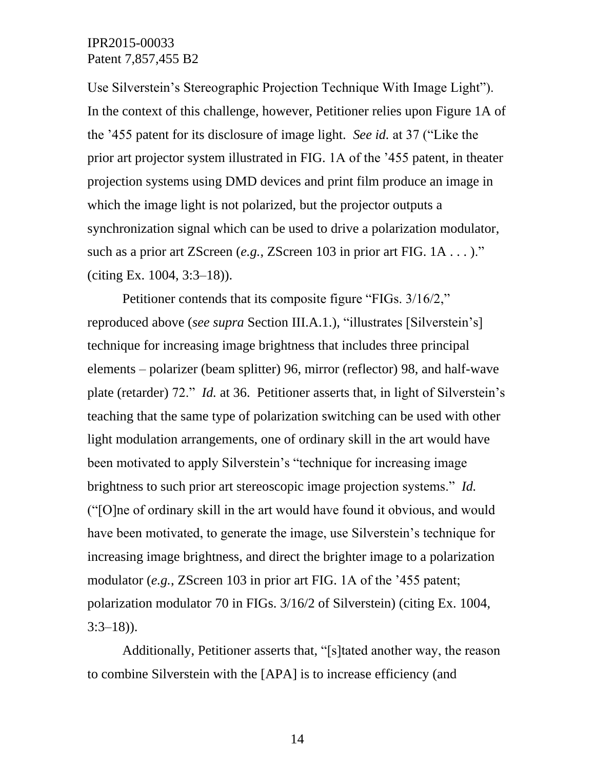Use Silverstein's Stereographic Projection Technique With Image Light"). In the context of this challenge, however, Petitioner relies upon Figure 1A of the '455 patent for its disclosure of image light. *See id.* at 37 ("Like the prior art projector system illustrated in FIG. 1A of the '455 patent, in theater projection systems using DMD devices and print film produce an image in which the image light is not polarized, but the projector outputs a synchronization signal which can be used to drive a polarization modulator, such as a prior art ZScreen (*e.g.*, ZScreen 103 in prior art FIG. 1A . . . )." (citing Ex. 1004, 3:3–18)).

Petitioner contends that its composite figure "FIGs. 3/16/2," reproduced above (*see supra* Section III.A.1.), "illustrates [Silverstein's] technique for increasing image brightness that includes three principal elements – polarizer (beam splitter) 96, mirror (reflector) 98, and half-wave plate (retarder) 72." *Id.* at 36. Petitioner asserts that, in light of Silverstein's teaching that the same type of polarization switching can be used with other light modulation arrangements, one of ordinary skill in the art would have been motivated to apply Silverstein's "technique for increasing image brightness to such prior art stereoscopic image projection systems." *Id.* ("[O]ne of ordinary skill in the art would have found it obvious, and would have been motivated, to generate the image, use Silverstein's technique for increasing image brightness, and direct the brighter image to a polarization modulator (*e.g.*, ZScreen 103 in prior art FIG. 1A of the '455 patent; polarization modulator 70 in FIGs. 3/16/2 of Silverstein) (citing Ex. 1004,  $3:3-18$ )).

Additionally, Petitioner asserts that, "[s]tated another way, the reason to combine Silverstein with the [APA] is to increase efficiency (and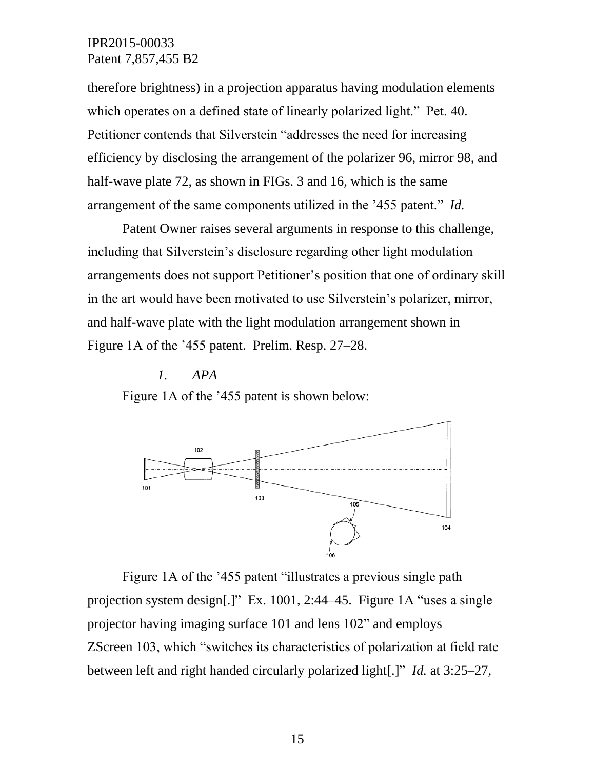therefore brightness) in a projection apparatus having modulation elements which operates on a defined state of linearly polarized light." Pet. 40. Petitioner contends that Silverstein "addresses the need for increasing efficiency by disclosing the arrangement of the polarizer 96, mirror 98, and half-wave plate 72, as shown in FIGs. 3 and 16, which is the same arrangement of the same components utilized in the '455 patent." *Id.*

Patent Owner raises several arguments in response to this challenge, including that Silverstein's disclosure regarding other light modulation arrangements does not support Petitioner's position that one of ordinary skill in the art would have been motivated to use Silverstein's polarizer, mirror, and half-wave plate with the light modulation arrangement shown in Figure 1A of the '455 patent. Prelim. Resp. 27–28.

*1. APA*

Figure 1A of the '455 patent is shown below:



Figure 1A of the '455 patent "illustrates a previous single path projection system design[.]" Ex. 1001, 2:44–45. Figure 1A "uses a single projector having imaging surface 101 and lens 102" and employs ZScreen 103, which "switches its characteristics of polarization at field rate between left and right handed circularly polarized light[.]" *Id.* at 3:25–27,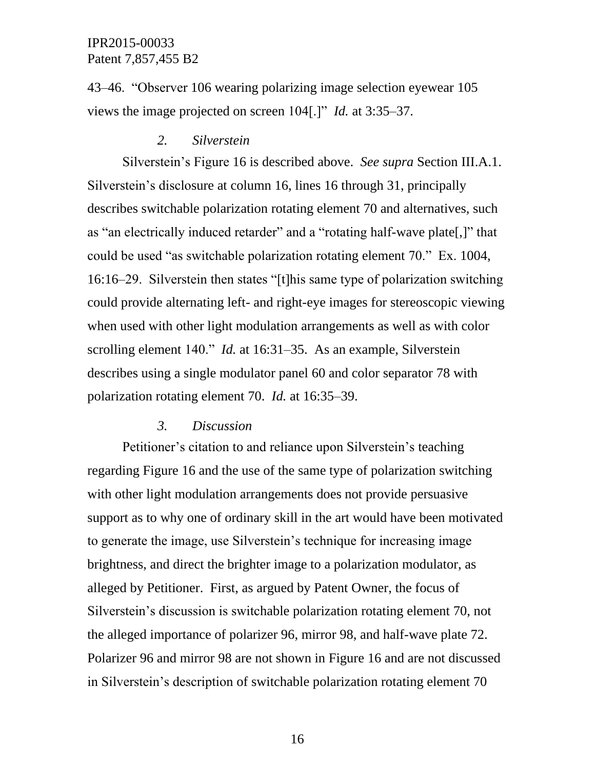43–46. "Observer 106 wearing polarizing image selection eyewear 105 views the image projected on screen 104[.]" *Id.* at 3:35–37.

#### *2. Silverstein*

Silverstein's Figure 16 is described above. *See supra* Section III.A.1. Silverstein's disclosure at column 16, lines 16 through 31, principally describes switchable polarization rotating element 70 and alternatives, such as "an electrically induced retarder" and a "rotating half-wave plate[,]" that could be used "as switchable polarization rotating element 70." Ex. 1004, 16:16–29. Silverstein then states "[t]his same type of polarization switching could provide alternating left- and right-eye images for stereoscopic viewing when used with other light modulation arrangements as well as with color scrolling element 140." *Id.* at 16:31–35. As an example, Silverstein describes using a single modulator panel 60 and color separator 78 with polarization rotating element 70. *Id.* at 16:35–39.

#### *3. Discussion*

Petitioner's citation to and reliance upon Silverstein's teaching regarding Figure 16 and the use of the same type of polarization switching with other light modulation arrangements does not provide persuasive support as to why one of ordinary skill in the art would have been motivated to generate the image, use Silverstein's technique for increasing image brightness, and direct the brighter image to a polarization modulator, as alleged by Petitioner. First, as argued by Patent Owner, the focus of Silverstein's discussion is switchable polarization rotating element 70, not the alleged importance of polarizer 96, mirror 98, and half-wave plate 72. Polarizer 96 and mirror 98 are not shown in Figure 16 and are not discussed in Silverstein's description of switchable polarization rotating element 70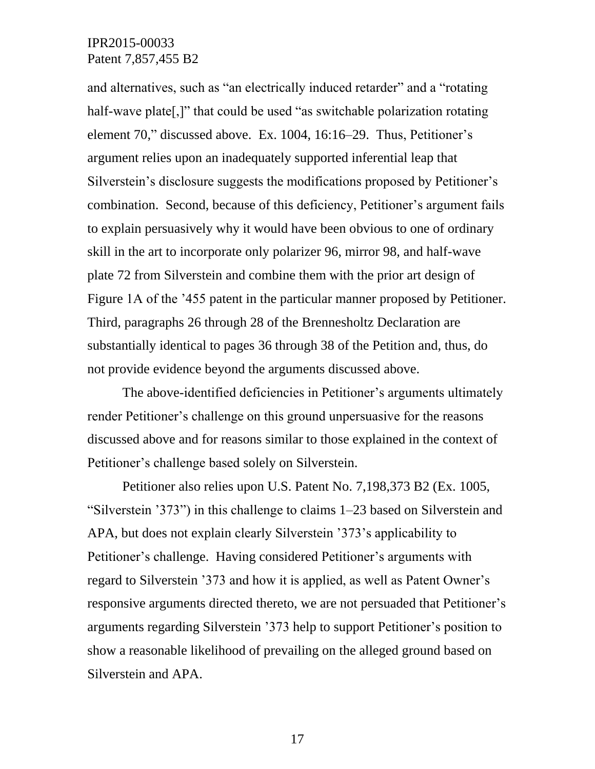and alternatives, such as "an electrically induced retarder" and a "rotating half-wave plate[,]" that could be used "as switchable polarization rotating element 70," discussed above. Ex. 1004, 16:16–29. Thus, Petitioner's argument relies upon an inadequately supported inferential leap that Silverstein's disclosure suggests the modifications proposed by Petitioner's combination. Second, because of this deficiency, Petitioner's argument fails to explain persuasively why it would have been obvious to one of ordinary skill in the art to incorporate only polarizer 96, mirror 98, and half-wave plate 72 from Silverstein and combine them with the prior art design of Figure 1A of the '455 patent in the particular manner proposed by Petitioner. Third, paragraphs 26 through 28 of the Brennesholtz Declaration are substantially identical to pages 36 through 38 of the Petition and, thus, do not provide evidence beyond the arguments discussed above.

The above-identified deficiencies in Petitioner's arguments ultimately render Petitioner's challenge on this ground unpersuasive for the reasons discussed above and for reasons similar to those explained in the context of Petitioner's challenge based solely on Silverstein.

Petitioner also relies upon U.S. Patent No. 7,198,373 B2 (Ex. 1005, "Silverstein '373") in this challenge to claims 1–23 based on Silverstein and APA, but does not explain clearly Silverstein '373's applicability to Petitioner's challenge. Having considered Petitioner's arguments with regard to Silverstein '373 and how it is applied, as well as Patent Owner's responsive arguments directed thereto, we are not persuaded that Petitioner's arguments regarding Silverstein '373 help to support Petitioner's position to show a reasonable likelihood of prevailing on the alleged ground based on Silverstein and APA.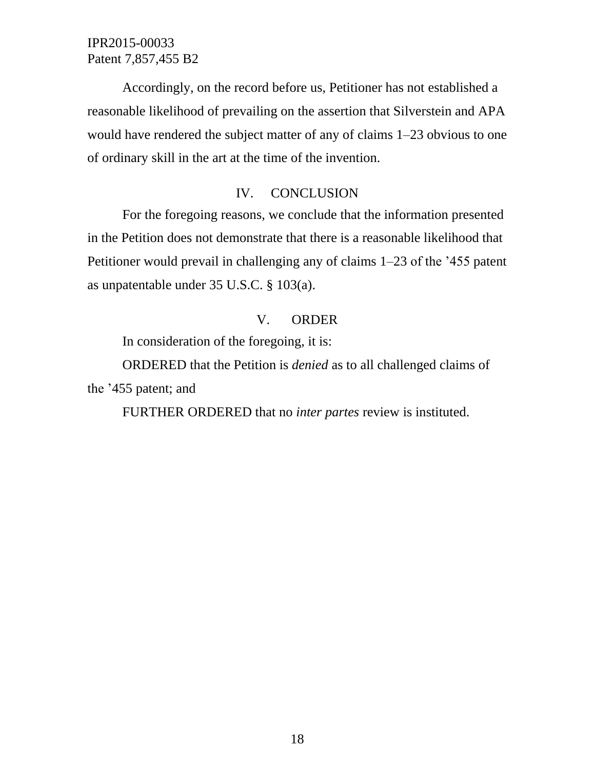Accordingly, on the record before us, Petitioner has not established a reasonable likelihood of prevailing on the assertion that Silverstein and APA would have rendered the subject matter of any of claims 1–23 obvious to one of ordinary skill in the art at the time of the invention.

### IV. CONCLUSION

For the foregoing reasons, we conclude that the information presented in the Petition does not demonstrate that there is a reasonable likelihood that Petitioner would prevail in challenging any of claims 1–23 of the '455 patent as unpatentable under 35 U.S.C. § 103(a).

#### V. ORDER

In consideration of the foregoing, it is:

ORDERED that the Petition is *denied* as to all challenged claims of the '455 patent; and

FURTHER ORDERED that no *inter partes* review is instituted.